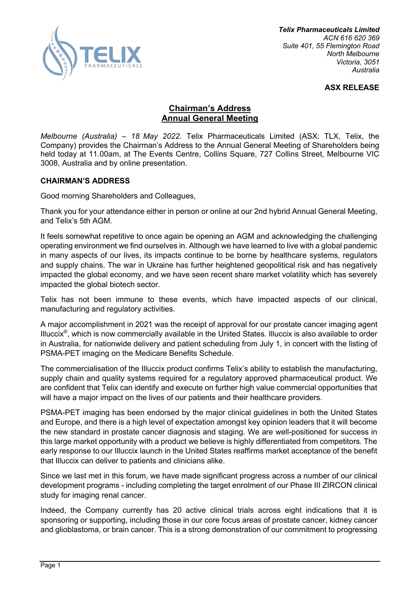

### **ASX RELEASE**

# **Chairman's Address Annual General Meeting**

*Melbourne (Australia) – 18 May 2022*. Telix Pharmaceuticals Limited (ASX: TLX, Telix, the Company) provides the Chairman's Address to the Annual General Meeting of Shareholders being held today at 11.00am, at The Events Centre, Collins Square, 727 Collins Street, Melbourne VIC 3008, Australia and by online presentation.

## **CHAIRMAN'S ADDRESS**

Good morning Shareholders and Colleagues,

Thank you for your attendance either in person or online at our 2nd hybrid Annual General Meeting, and Telix's 5th AGM.

It feels somewhat repetitive to once again be opening an AGM and acknowledging the challenging operating environment we find ourselves in. Although we have learned to live with a global pandemic in many aspects of our lives, its impacts continue to be borne by healthcare systems, regulators and supply chains. The war in Ukraine has further heightened geopolitical risk and has negatively impacted the global economy, and we have seen recent share market volatility which has severely impacted the global biotech sector.

Telix has not been immune to these events, which have impacted aspects of our clinical, manufacturing and regulatory activities.

A major accomplishment in 2021 was the receipt of approval for our prostate cancer imaging agent Illuccix®, which is now commercially available in the United States. Illuccix is also available to order in Australia, for nationwide delivery and patient scheduling from July 1, in concert with the listing of PSMA-PET imaging on the Medicare Benefits Schedule.

The commercialisation of the Illuccix product confirms Telix's ability to establish the manufacturing, supply chain and quality systems required for a regulatory approved pharmaceutical product. We are confident that Telix can identify and execute on further high value commercial opportunities that will have a major impact on the lives of our patients and their healthcare providers.

PSMA-PET imaging has been endorsed by the major clinical guidelines in both the United States and Europe, and there is a high level of expectation amongst key opinion leaders that it will become the new standard in prostate cancer diagnosis and staging. We are well-positioned for success in this large market opportunity with a product we believe is highly differentiated from competitors. The early response to our Illuccix launch in the United States reaffirms market acceptance of the benefit that Illuccix can deliver to patients and clinicians alike.

Since we last met in this forum, we have made significant progress across a number of our clinical development programs - including completing the target enrolment of our Phase III ZIRCON clinical study for imaging renal cancer.

Indeed, the Company currently has 20 active clinical trials across eight indications that it is sponsoring or supporting, including those in our core focus areas of prostate cancer, kidney cancer and glioblastoma, or brain cancer. This is a strong demonstration of our commitment to progressing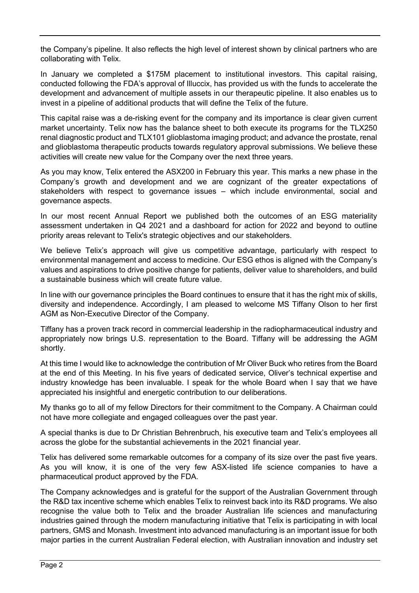the Company's pipeline. It also reflects the high level of interest shown by clinical partners who are collaborating with Telix.

In January we completed a \$175M placement to institutional investors. This capital raising, conducted following the FDA's approval of Illuccix, has provided us with the funds to accelerate the development and advancement of multiple assets in our therapeutic pipeline. It also enables us to invest in a pipeline of additional products that will define the Telix of the future.

This capital raise was a de-risking event for the company and its importance is clear given current market uncertainty. Telix now has the balance sheet to both execute its programs for the TLX250 renal diagnostic product and TLX101 glioblastoma imaging product; and advance the prostate, renal and glioblastoma therapeutic products towards regulatory approval submissions. We believe these activities will create new value for the Company over the next three years.

As you may know, Telix entered the ASX200 in February this year. This marks a new phase in the Company's growth and development and we are cognizant of the greater expectations of stakeholders with respect to governance issues – which include environmental, social and governance aspects.

In our most recent Annual Report we published both the outcomes of an ESG materiality assessment undertaken in Q4 2021 and a dashboard for action for 2022 and beyond to outline priority areas relevant to Telix's strategic objectives and our stakeholders.

We believe Telix's approach will give us competitive advantage, particularly with respect to environmental management and access to medicine. Our ESG ethos is aligned with the Company's values and aspirations to drive positive change for patients, deliver value to shareholders, and build a sustainable business which will create future value.

In line with our governance principles the Board continues to ensure that it has the right mix of skills, diversity and independence. Accordingly, I am pleased to welcome MS Tiffany Olson to her first AGM as Non-Executive Director of the Company.

Tiffany has a proven track record in commercial leadership in the radiopharmaceutical industry and appropriately now brings U.S. representation to the Board. Tiffany will be addressing the AGM shortly.

At this time I would like to acknowledge the contribution of Mr Oliver Buck who retires from the Board at the end of this Meeting. In his five years of dedicated service, Oliver's technical expertise and industry knowledge has been invaluable. I speak for the whole Board when I say that we have appreciated his insightful and energetic contribution to our deliberations.

My thanks go to all of my fellow Directors for their commitment to the Company. A Chairman could not have more collegiate and engaged colleagues over the past year.

A special thanks is due to Dr Christian Behrenbruch, his executive team and Telix's employees all across the globe for the substantial achievements in the 2021 financial year.

Telix has delivered some remarkable outcomes for a company of its size over the past five years. As you will know, it is one of the very few ASX-listed life science companies to have a pharmaceutical product approved by the FDA.

The Company acknowledges and is grateful for the support of the Australian Government through the R&D tax incentive scheme which enables Telix to reinvest back into its R&D programs. We also recognise the value both to Telix and the broader Australian life sciences and manufacturing industries gained through the modern manufacturing initiative that Telix is participating in with local partners, GMS and Monash. Investment into advanced manufacturing is an important issue for both major parties in the current Australian Federal election, with Australian innovation and industry set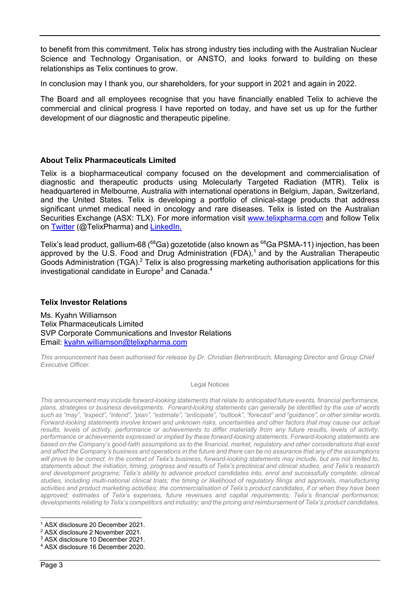to benefit from this commitment. Telix has strong industry ties including with the Australian Nuclear Science and Technology Organisation, or ANSTO, and looks forward to building on these relationships as Telix continues to grow.

In conclusion may I thank you, our shareholders, for your support in 2021 and again in 2022.

The Board and all employees recognise that you have financially enabled Telix to achieve the commercial and clinical progress I have reported on today, and have set us up for the further development of our diagnostic and therapeutic pipeline.

#### **About Telix Pharmaceuticals Limited**

Telix is a biopharmaceutical company focused on the development and commercialisation of diagnostic and therapeutic products using Molecularly Targeted Radiation (MTR). Telix is headquartered in Melbourne, Australia with international operations in Belgium, Japan, Switzerland, and the United States. Telix is developing a portfolio of clinical-stage products that address significant unmet medical need in oncology and rare diseases. Telix is listed on the Australian Securities Exchange (ASX: TLX). For more information visit www.telixpharma.com and follow Telix on Twitter (@TelixPharma) and LinkedIn.

Telix's lead product, gallium-68 (<sup>68</sup>Ga) gozetotide (also known as <sup>68</sup>Ga PSMA-11) iniection. has been approved by the U.S. Food and Drug Administration (FDA),<sup>1</sup> and by the Australian Therapeutic Goods Administration (TGA).2 Telix is also progressing marketing authorisation applications for this investigational candidate in Europe<sup>3</sup> and Canada.<sup>4</sup>

#### **Telix Investor Relations**

Ms. Kyahn Williamson Telix Pharmaceuticals Limited SVP Corporate Communications and Investor Relations Email: kyahn.williamson@telixpharma.com

*This announcement has been authorised for release by Dr. Christian Behrenbruch, Managing Director and Group Chief Executive Officer.*

#### Legal Notices

*This announcement may include forward-looking statements that relate to anticipated future events, financial performance, plans, strategies or business developments. Forward-looking statements can generally be identified by the use of words such as "may", "expect", "intend", "plan", "estimate", "anticipate", "outlook", "forecast" and "guidance", or other similar words. Forward-looking statements involve known and unknown risks, uncertainties and other factors that may cause our actual*  results, levels of activity, performance or achievements to differ materially from any future results, levels of activity, *performance or achievements expressed or implied by these forward-looking statements. Forward-looking statements are based on the Company's good-faith assumptions as to the financial, market, regulatory and other considerations that exist and affect the Company's business and operations in the future and there can be no assurance that any of the assumptions will prove to be correct. In the context of Telix's business, forward-looking statements may include, but are not limited to, statements about: the initiation, timing, progress and results of Telix's preclinical and clinical studies, and Telix's research and development programs; Telix's ability to advance product candidates into, enrol and successfully complete, clinical studies, including multi-national clinical trials; the timing or likelihood of regulatory filings and approvals, manufacturing activities and product marketing activities; the commercialisation of Telix's product candidates, if or when they have been approved; estimates of Telix's expenses, future revenues and capital requirements; Telix's financial performance; developments relating to Telix's competitors and industry; and the pricing and reimbursement of Telix's product candidates,* 

<sup>1</sup> ASX disclosure 20 December 2021.

<sup>2</sup> ASX disclosure 2 November 2021.

<sup>3</sup> ASX disclosure 10 December 2021.

<sup>4</sup> ASX disclosure 16 December 2020.